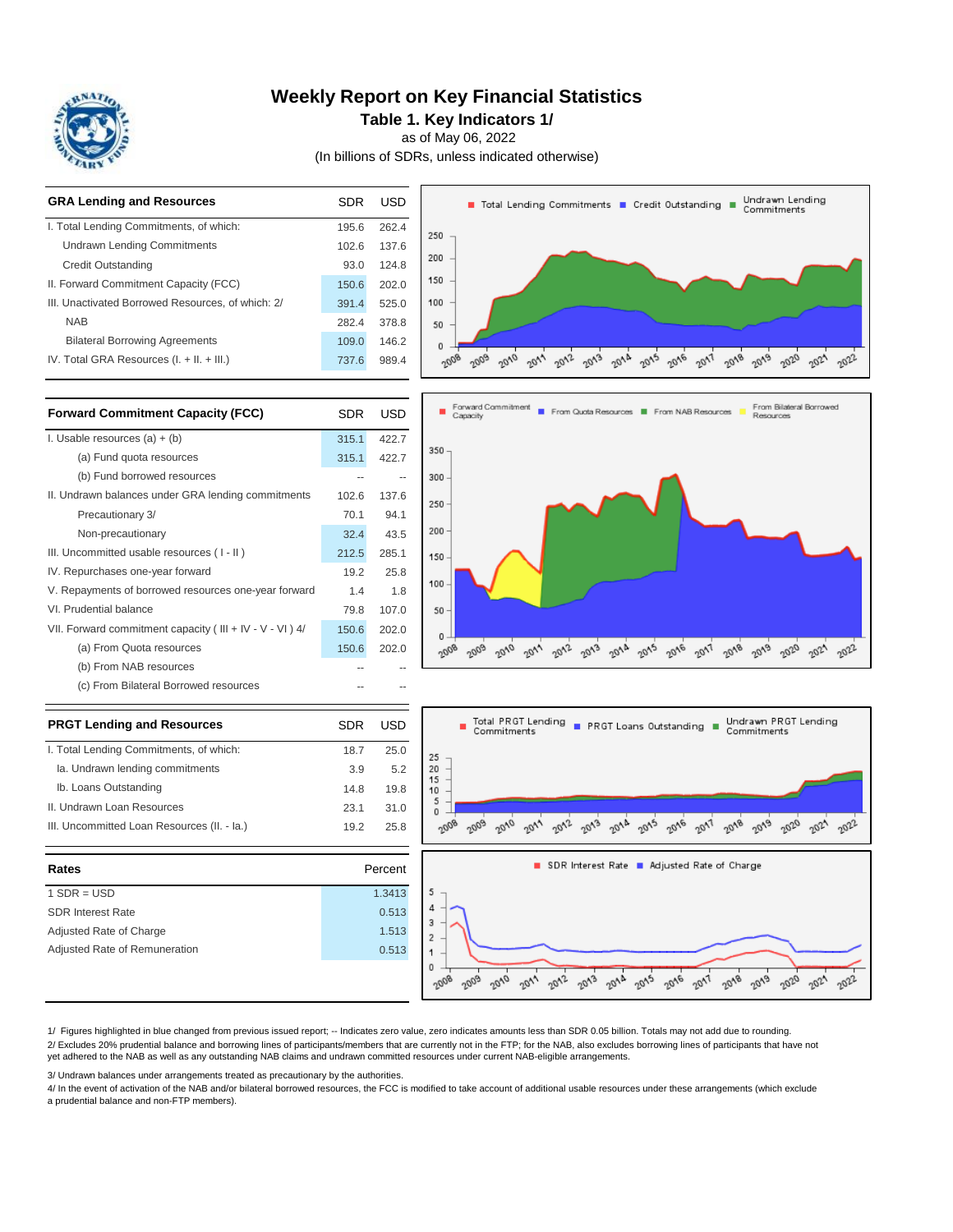

### **Weekly Report on Key Financial Statistics**

**Table 1. Key Indicators 1/**

as of May 06, 2022

(In billions of SDRs, unless indicated otherwise)



| <b>PRGT Lending and Resources</b>           | <b>SDR</b> | <b>USD</b> | Total PRGT<br>Commitmer |
|---------------------------------------------|------------|------------|-------------------------|
| I. Total Lending Commitments, of which:     | 18.7       | 25.0       | 25                      |
| Ia. Undrawn lending commitments             | 3.9        | 5.2        | 20                      |
| Ib. Loans Outstanding                       | 14.8       | 19.8       | 15<br>10                |
| II. Undrawn Loan Resources                  | 23.1       | 31.0       | 5<br>0                  |
| III. Uncommitted Loan Resources (II. - la.) | 19.2       | 25.8       |                         |
|                                             |            |            |                         |
|                                             |            |            |                         |
| Rates                                       |            | Percent    |                         |
| $1$ SDR = USD                               |            | 1.3413     | 5                       |
| <b>SDR Interest Rate</b>                    |            | 0.513      | 4                       |
| Adjusted Rate of Charge                     |            | 1.513      | з                       |
| Adjusted Rate of Remuneration               |            | 0.513      | 2                       |



1/ Figures highlighted in blue changed from previous issued report; -- Indicates zero value, zero indicates amounts less than SDR 0.05 billion. Totals may not add due to rounding. 2/ Excludes 20% prudential balance and borrowing lines of participants/members that are currently not in the FTP; for the NAB, also excludes borrowing lines of participants that have not yet adhered to the NAB as well as any outstanding NAB claims and undrawn committed resources under current NAB-eligible arrangements.

3/ Undrawn balances under arrangements treated as precautionary by the authorities.

4/ In the event of activation of the NAB and/or bilateral borrowed resources, the FCC is modified to take account of additional usable resources under these arrangements (which exclude a prudential balance and non-FTP members).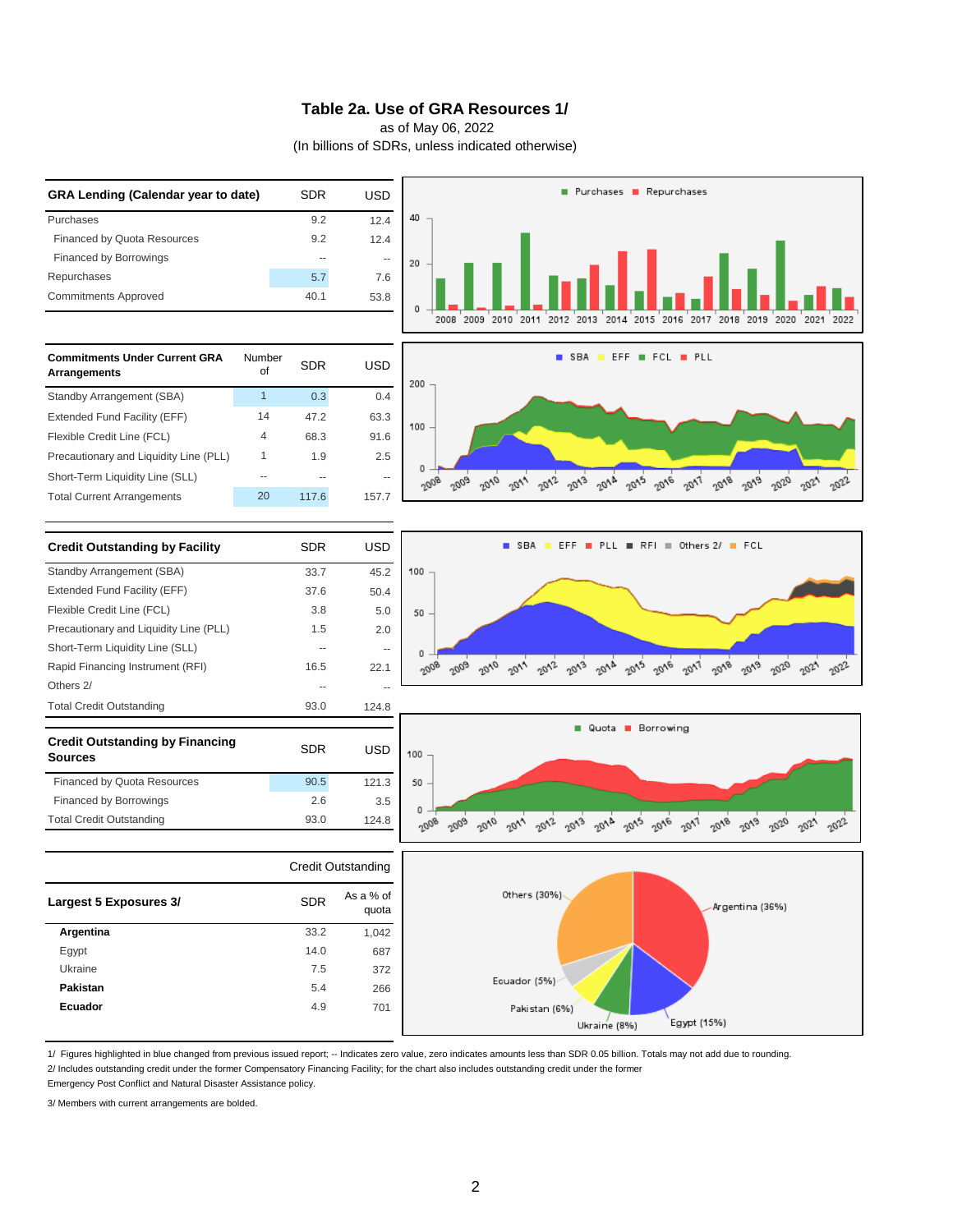#### **Table 2a. Use of GRA Resources 1/**

as of May 06, 2022

(In billions of SDRs, unless indicated otherwise)



1/ Figures highlighted in blue changed from previous issued report; -- Indicates zero value, zero indicates amounts less than SDR 0.05 billion. Totals may not add due to rounding.

2/ Includes outstanding credit under the former Compensatory Financing Facility; for the chart also includes outstanding credit under the former

Emergency Post Conflict and Natural Disaster Assistance policy.

3/ Members with current arrangements are bolded.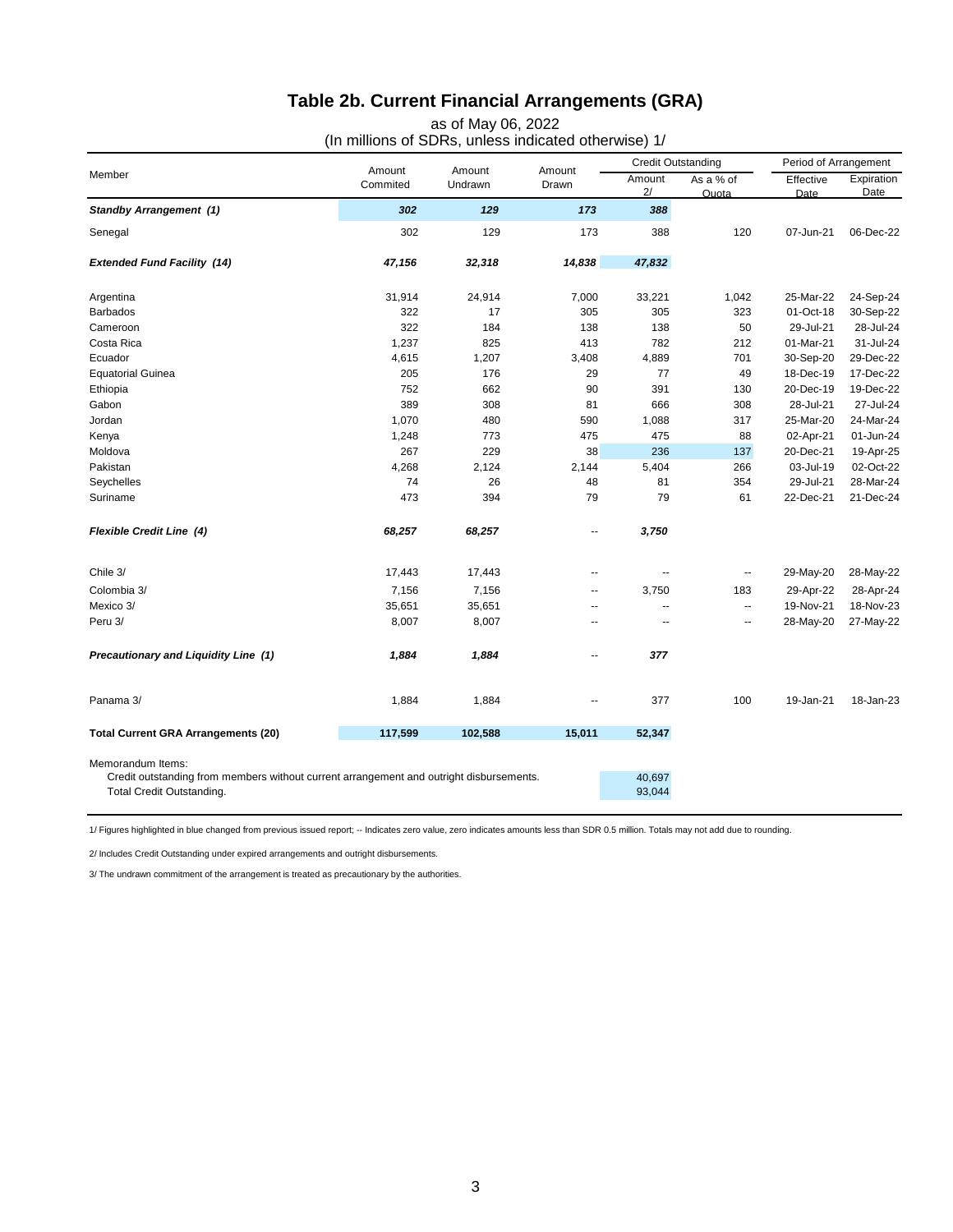# **Table 2b. Current Financial Arrangements (GRA)**

as of May 06, 2022

| Member                                                                                                                                    | Amount<br>Commited | Amount<br>Undrawn | Amount<br>Drawn | <b>Credit Outstanding</b> |                          | Period of Arrangement |                    |
|-------------------------------------------------------------------------------------------------------------------------------------------|--------------------|-------------------|-----------------|---------------------------|--------------------------|-----------------------|--------------------|
|                                                                                                                                           |                    |                   |                 | Amount<br>2/              | As a % of<br>Quota       | Effective<br>Date     | Expiration<br>Date |
| <b>Standby Arrangement (1)</b>                                                                                                            | 302                | 129               | 173             | 388                       |                          |                       |                    |
| Senegal                                                                                                                                   | 302                | 129               | 173             | 388                       | 120                      | 07-Jun-21             | 06-Dec-22          |
| <b>Extended Fund Facility (14)</b>                                                                                                        | 47,156             | 32,318            | 14,838          | 47,832                    |                          |                       |                    |
| Argentina                                                                                                                                 | 31,914             | 24,914            | 7,000           | 33,221                    | 1,042                    | 25-Mar-22             | 24-Sep-24          |
| <b>Barbados</b>                                                                                                                           | 322                | 17                | 305             | 305                       | 323                      | 01-Oct-18             | 30-Sep-22          |
| Cameroon                                                                                                                                  | 322                | 184               | 138             | 138                       | 50                       | 29-Jul-21             | 28-Jul-24          |
| Costa Rica                                                                                                                                | 1,237              | 825               | 413             | 782                       | 212                      | 01-Mar-21             | 31-Jul-24          |
| Ecuador                                                                                                                                   | 4,615              | 1,207             | 3,408           | 4,889                     | 701                      | 30-Sep-20             | 29-Dec-22          |
| <b>Equatorial Guinea</b>                                                                                                                  | 205                | 176               | 29              | 77                        | 49                       | 18-Dec-19             | 17-Dec-22          |
| Ethiopia                                                                                                                                  | 752                | 662               | 90              | 391                       | 130                      | 20-Dec-19             | 19-Dec-22          |
| Gabon                                                                                                                                     | 389                | 308               | 81              | 666                       | 308                      | 28-Jul-21             | 27-Jul-24          |
| Jordan                                                                                                                                    | 1,070              | 480               | 590             | 1,088                     | 317                      | 25-Mar-20             | 24-Mar-24          |
| Kenya                                                                                                                                     | 1,248              | 773               | 475             | 475                       | 88                       | 02-Apr-21             | 01-Jun-24          |
| Moldova                                                                                                                                   | 267                | 229               | 38              | 236                       | 137                      | 20-Dec-21             | 19-Apr-25          |
| Pakistan                                                                                                                                  | 4,268              | 2,124             | 2,144           | 5,404                     | 266                      | 03-Jul-19             | 02-Oct-22          |
| Seychelles                                                                                                                                | 74                 | 26                | 48              | 81                        | 354                      | 29-Jul-21             | 28-Mar-24          |
| Suriname                                                                                                                                  | 473                | 394               | 79              | 79                        | 61                       | 22-Dec-21             | 21-Dec-24          |
| <b>Flexible Credit Line (4)</b>                                                                                                           | 68,257             | 68,257            | ۰.              | 3,750                     |                          |                       |                    |
| Chile 3/                                                                                                                                  | 17,443             | 17,443            | $\sim$          | $\overline{a}$            | $\overline{\phantom{a}}$ | 29-May-20             | 28-May-22          |
| Colombia 3/                                                                                                                               | 7,156              | 7,156             | --              | 3,750                     | 183                      | 29-Apr-22             | 28-Apr-24          |
| Mexico 3/                                                                                                                                 | 35,651             | 35,651            | $\sim$          | $\overline{a}$            | $\overline{\phantom{a}}$ | 19-Nov-21             | 18-Nov-23          |
| Peru 3/                                                                                                                                   | 8,007              | 8,007             | $\sim$          | $\sim$                    | $\sim$                   | 28-May-20             | 27-May-22          |
| Precautionary and Liquidity Line (1)                                                                                                      | 1,884              | 1,884             | ۰.              | 377                       |                          |                       |                    |
| Panama 3/                                                                                                                                 | 1,884              | 1,884             |                 | 377                       | 100                      | 19-Jan-21             | 18-Jan-23          |
| <b>Total Current GRA Arrangements (20)</b>                                                                                                | 117,599            | 102,588           | 15,011          | 52,347                    |                          |                       |                    |
| Memorandum Items:<br>Credit outstanding from members without current arrangement and outright disbursements.<br>Total Credit Outstanding. |                    |                   |                 | 40,697<br>93,044          |                          |                       |                    |

1/ Figures highlighted in blue changed from previous issued report; -- Indicates zero value, zero indicates amounts less than SDR 0.5 million. Totals may not add due to rounding.

2/ Includes Credit Outstanding under expired arrangements and outright disbursements.

3/ The undrawn commitment of the arrangement is treated as precautionary by the authorities.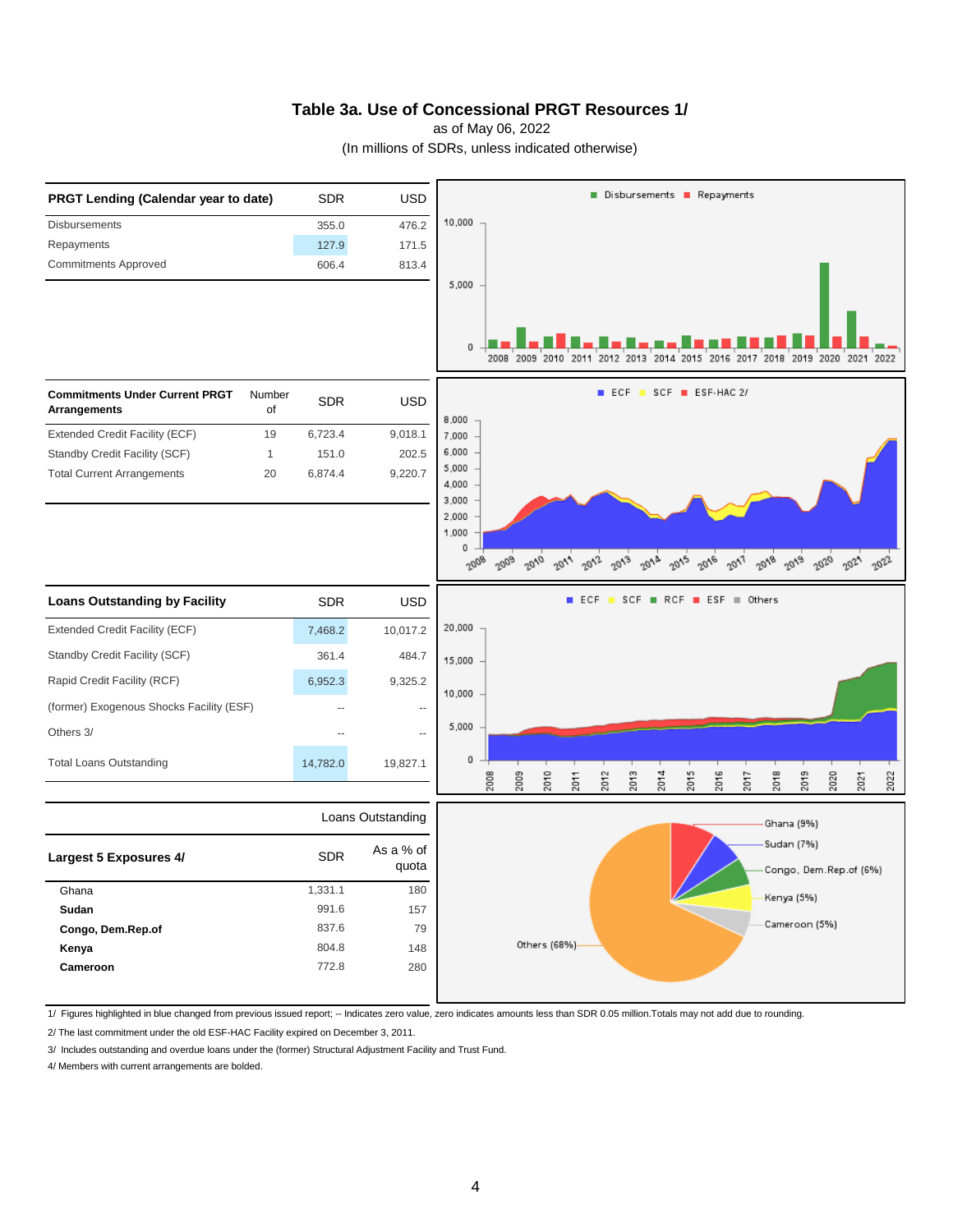### **Table 3a. Use of Concessional PRGT Resources 1/**

as of May 06, 2022

(In millions of SDRs, unless indicated otherwise)



1/ Figures highlighted in blue changed from previous issued report; -- Indicates zero value, zero indicates amounts less than SDR 0.05 million.Totals may not add due to rounding.

2/ The last commitment under the old ESF-HAC Facility expired on December 3, 2011.

3/ Includes outstanding and overdue loans under the (former) Structural Adjustment Facility and Trust Fund.

4/ Members with current arrangements are bolded.